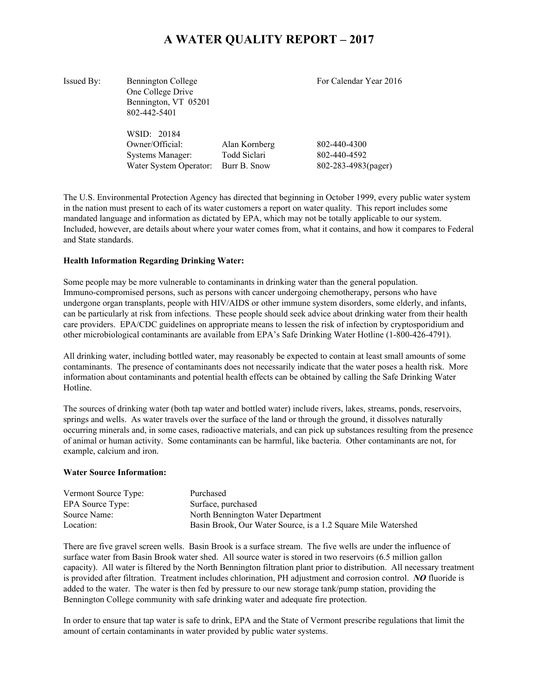# **A WATER QUALITY REPORT – 2017**

| Issued By: | <b>Bennington College</b><br>One College Drive<br>Bennington, VT 05201<br>802-442-5401 |                                               | For Calendar Year 2016                              |
|------------|----------------------------------------------------------------------------------------|-----------------------------------------------|-----------------------------------------------------|
|            | WSID: 20184<br>Owner/Official:<br><b>Systems Manager:</b><br>Water System Operator:    | Alan Kornberg<br>Todd Siclari<br>Burr B. Snow | 802-440-4300<br>802-440-4592<br>802-283-4983(pager) |

The U.S. Environmental Protection Agency has directed that beginning in October 1999, every public water system in the nation must present to each of its water customers a report on water quality. This report includes some mandated language and information as dictated by EPA, which may not be totally applicable to our system. Included, however, are details about where your water comes from, what it contains, and how it compares to Federal and State standards.

#### **Health Information Regarding Drinking Water:**

Some people may be more vulnerable to contaminants in drinking water than the general population. Immuno-compromised persons, such as persons with cancer undergoing chemotherapy, persons who have undergone organ transplants, people with HIV/AIDS or other immune system disorders, some elderly, and infants, can be particularly at risk from infections. These people should seek advice about drinking water from their health care providers. EPA/CDC guidelines on appropriate means to lessen the risk of infection by cryptosporidium and other microbiological contaminants are available from EPA's Safe Drinking Water Hotline (1-800-426-4791).

All drinking water, including bottled water, may reasonably be expected to contain at least small amounts of some contaminants. The presence of contaminants does not necessarily indicate that the water poses a health risk. More information about contaminants and potential health effects can be obtained by calling the Safe Drinking Water Hotline.

The sources of drinking water (both tap water and bottled water) include rivers, lakes, streams, ponds, reservoirs, springs and wells. As water travels over the surface of the land or through the ground, it dissolves naturally occurring minerals and, in some cases, radioactive materials, and can pick up substances resulting from the presence of animal or human activity. Some contaminants can be harmful, like bacteria. Other contaminants are not, for example, calcium and iron.

#### **Water Source Information:**

| Vermont Source Type: | Purchased                                                     |
|----------------------|---------------------------------------------------------------|
| EPA Source Type:     | Surface, purchased                                            |
| Source Name:         | North Bennington Water Department                             |
| Location:            | Basin Brook, Our Water Source, is a 1.2 Square Mile Watershed |

There are five gravel screen wells. Basin Brook is a surface stream. The five wells are under the influence of surface water from Basin Brook water shed. All source water is stored in two reservoirs (6.5 million gallon capacity). All water is filtered by the North Bennington filtration plant prior to distribution. All necessary treatment is provided after filtration. Treatment includes chlorination, PH adjustment and corrosion control. *NO* fluoride is added to the water. The water is then fed by pressure to our new storage tank/pump station, providing the Bennington College community with safe drinking water and adequate fire protection.

In order to ensure that tap water is safe to drink, EPA and the State of Vermont prescribe regulations that limit the amount of certain contaminants in water provided by public water systems.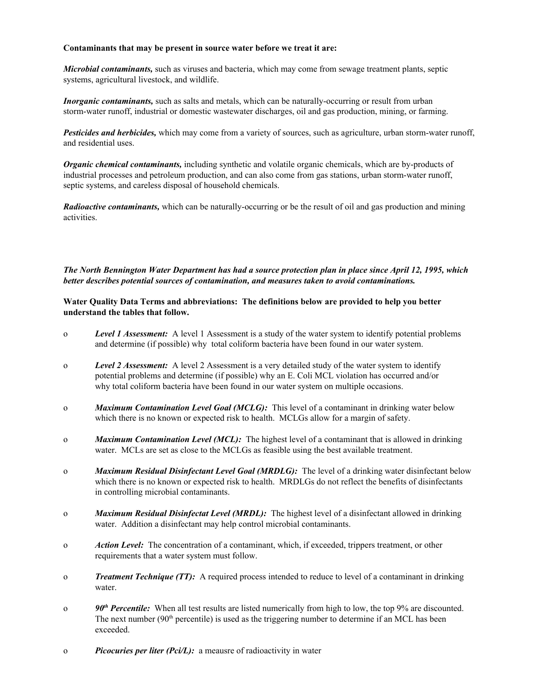## **Contaminants that may be present in source water before we treat it are:**

*Microbial contaminants,* such as viruses and bacteria, which may come from sewage treatment plants, septic systems, agricultural livestock, and wildlife.

*Inorganic contaminants*, such as salts and metals, which can be naturally-occurring or result from urban storm-water runoff, industrial or domestic wastewater discharges, oil and gas production, mining, or farming.

*Pesticides and herbicides,* which may come from a variety of sources, such as agriculture, urban storm-water runoff, and residential uses.

*Organic chemical contaminants,* including synthetic and volatile organic chemicals, which are by-products of industrial processes and petroleum production, and can also come from gas stations, urban storm-water runoff, septic systems, and careless disposal of household chemicals.

*Radioactive contaminants,* which can be naturally-occurring or be the result of oil and gas production and mining activities.

# The North Bennington Water Department has had a source protection plan in place since April 12, 1995, which *better describes potential sources of contamination, and measures taken to avoid contaminations.*

# **Water Quality Data Terms and abbreviations: The definitions below are provided to help you better understand the tables that follow.**

- o *Level 1 Assessment:* A level 1 Assessment is a study of the water system to identify potential problems and determine (if possible) why total coliform bacteria have been found in our water system.
- o *Level 2 Assessment:* A level 2 Assessment is a very detailed study of the water system to identify potential problems and determine (if possible) why an E. Coli MCL violation has occurred and/or why total coliform bacteria have been found in our water system on multiple occasions.
- o *Maximum Contamination Level Goal (MCLG):* This level of a contaminant in drinking water below which there is no known or expected risk to health. MCLGs allow for a margin of safety.
- o *Maximum Contamination Level (MCL):* The highest level of a contaminant that is allowed in drinking water. MCLs are set as close to the MCLGs as feasible using the best available treatment.
- o *Maximum Residual Disinfectant Level Goal (MRDLG):* The level of a drinking water disinfectant below which there is no known or expected risk to health. MRDLGs do not reflect the benefits of disinfectants in controlling microbial contaminants.
- o *Maximum Residual Disinfectat Level (MRDL):* The highest level of a disinfectant allowed in drinking water. Addition a disinfectant may help control microbial contaminants.
- o *Action Level:* The concentration of a contaminant, which, if exceeded, trippers treatment, or other requirements that a water system must follow.
- o *Treatment Technique (TT):* A required process intended to reduce to level of a contaminant in drinking water.
- $90<sup>th</sup>$  *Percentile:* When all test results are listed numerically from high to low, the top 9% are discounted. The next number (90<sup>th</sup> percentile) is used as the triggering number to determine if an MCL has been exceeded.
- o *Picocuries per liter (Pci/L):* a meausre of radioactivity in water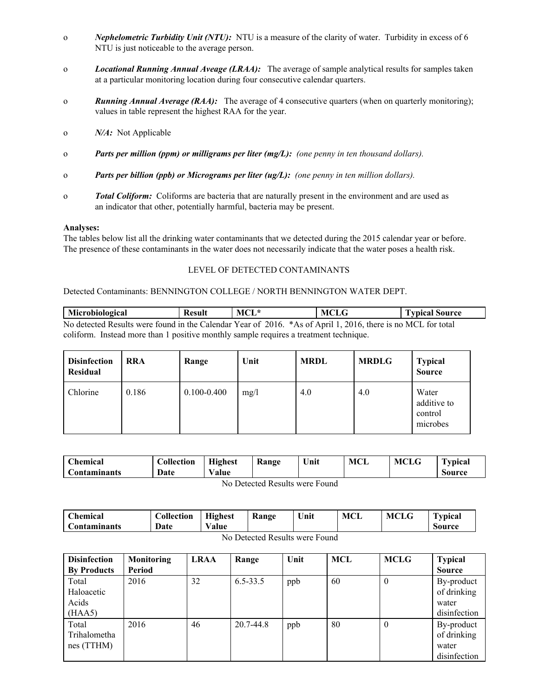- o *Nephelometric Turbidity Unit (NTU):* NTU is a measure of the clarity of water. Turbidity in excess of 6 NTU is just noticeable to the average person.
- o *Locational Running Annual Aveage (LRAA):* The average of sample analytical results for samples taken at a particular monitoring location during four consecutive calendar quarters.
- o *Running Annual Average (RAA):* The average of 4 consecutive quarters (when on quarterly monitoring); values in table represent the highest RAA for the year.
- o *N/A:* Not Applicable
- o *Parts per million (ppm) or milligrams per liter (mg/L): (one penny in ten thousand dollars).*
- o *Parts per billion (ppb) or Micrograms per liter (ug/L): (one penny in ten million dollars).*
- o *Total Coliform:* Coliforms are bacteria that are naturally present in the environment and are used as an indicator that other, potentially harmful, bacteria may be present.

#### **Analyses:**

The tables below list all the drinking water contaminants that we detected during the 2015 calendar year or before. The presence of these contaminants in the water does not necessarily indicate that the water poses a health risk.

#### LEVEL OF DETECTED CONTAMINANTS

#### Detected Contaminants: BENNINGTON COLLEGE / NORTH BENNINGTON WATER DEPT.

**Microbiological Result MCL\* MCLG Typical Source** No detected Results were found in the Calendar Year of 2016. \*As of April 1, 2016, there is no MCL for total coliform. Instead more than 1 positive monthly sample requires a treatment technique.

| <b>Disinfection</b><br>Residual | <b>RRA</b> | Range           | Unit | <b>MRDL</b> | <b>MRDLG</b> | <b>Typical</b><br><b>Source</b>             |
|---------------------------------|------------|-----------------|------|-------------|--------------|---------------------------------------------|
| Chlorine                        | 0.186      | $0.100 - 0.400$ | mg/l | 4.0         | 4.0          | Water<br>additive to<br>control<br>microbes |

| Chemical     | <b>Collection</b> | <b>Highest</b> | <b>Kange</b> | Unit | MCL | <b>MCLG</b> | Typical |
|--------------|-------------------|----------------|--------------|------|-----|-------------|---------|
| Contaminants | Date              | Value          |              |      |     |             | Source  |
| _            |                   |                |              |      |     |             |         |

No Detected Results were Found

| Chemical            | Collection | <b>Highest</b> | Range | Unit | MCL | <b>MCLG</b> | <b>Typical</b> |
|---------------------|------------|----------------|-------|------|-----|-------------|----------------|
| <b>Contaminants</b> | Date       | Value          |       |      |     |             | Source         |
| -- -                |            |                |       |      |     |             |                |

| No Detected Results were Found |
|--------------------------------|
|--------------------------------|

| <b>Disinfection</b>                    | <b>Monitoring</b> | <b>LRAA</b> | Range        | Unit | <b>MCL</b> | <b>MCLG</b> | <b>Typical</b>                                     |
|----------------------------------------|-------------------|-------------|--------------|------|------------|-------------|----------------------------------------------------|
| <b>By Products</b>                     | Period            |             |              |      |            |             | <b>Source</b>                                      |
| Total<br>Haloacetic<br>Acids<br>(HAA5) | 2016              | 32          | $6.5 - 33.5$ | ppb  | 60         | $\theta$    | By-product<br>of drinking<br>water<br>disinfection |
| Total<br>Trihalometha<br>nes (TTHM)    | 2016              | 46          | 20.7-44.8    | ppb  | 80         | $\theta$    | By-product<br>of drinking<br>water<br>disinfection |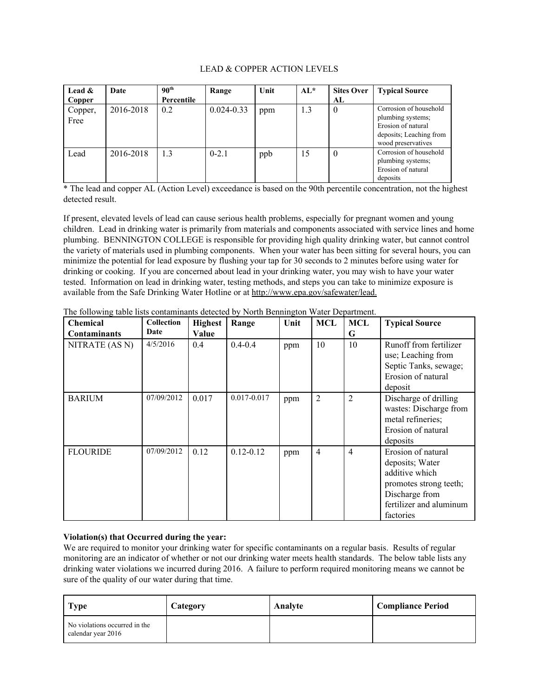#### LEAD & COPPER ACTION LEVELS

| Lead $\&$<br>Copper | Date      | 90 <sup>th</sup><br>Percentile | Range          | Unit | $AL^*$ | <b>Sites Over</b><br>AL | <b>Typical Source</b>                                                                                              |
|---------------------|-----------|--------------------------------|----------------|------|--------|-------------------------|--------------------------------------------------------------------------------------------------------------------|
| Copper,<br>Free     | 2016-2018 | 0.2                            | $0.024 - 0.33$ | ppm  | 1.3    | $\theta$                | Corrosion of household<br>plumbing systems;<br>Erosion of natural<br>deposits; Leaching from<br>wood preservatives |
| Lead                | 2016-2018 | 1.3                            | $0 - 2.1$      | ppb  | 15     | $\theta$                | Corrosion of household<br>plumbing systems;<br>Erosion of natural<br>deposits                                      |

\* The lead and copper AL (Action Level) exceedance is based on the 90th percentile concentration, not the highest detected result.

If present, elevated levels of lead can cause serious health problems, especially for pregnant women and young children. Lead in drinking water is primarily from materials and components associated with service lines and home plumbing. BENNINGTON COLLEGE is responsible for providing high quality drinking water, but cannot control the variety of materials used in plumbing components. When your water has been sitting for several hours, you can minimize the potential for lead exposure by flushing your tap for 30 seconds to 2 minutes before using water for drinking or cooking. If you are concerned about lead in your drinking water, you may wish to have your water tested. Information on lead in drinking water, testing methods, and steps you can take to minimize exposure is available from the Safe Drinking Water Hotline or at http://www.epa.gov/safewater/lead.

| <b>Chemical</b>     | <b>Collection</b> | <b>Highest</b> | Range         | Unit | MCL            | MCL            | <b>Typical Source</b>                                                                                                                       |
|---------------------|-------------------|----------------|---------------|------|----------------|----------------|---------------------------------------------------------------------------------------------------------------------------------------------|
| <b>Contaminants</b> | Date              | Value          |               |      |                | G              |                                                                                                                                             |
| NITRATE (AS N)      | 4/5/2016          | 0.4            | $0.4 - 0.4$   | ppm  | 10             | 10             | Runoff from fertilizer<br>use; Leaching from<br>Septic Tanks, sewage;<br>Erosion of natural<br>deposit                                      |
| <b>BARIUM</b>       | 07/09/2012        | 0.017          | 0.017-0.017   | ppm  | $\overline{2}$ | $\overline{c}$ | Discharge of drilling<br>wastes: Discharge from<br>metal refineries;<br>Erosion of natural<br>deposits                                      |
| <b>FLOURIDE</b>     | 07/09/2012        | 0.12           | $0.12 - 0.12$ | ppm  | $\overline{4}$ | 4              | Erosion of natural<br>deposits; Water<br>additive which<br>promotes strong teeth;<br>Discharge from<br>fertilizer and aluminum<br>factories |

The following table lists contaminants detected by North Bennington Water Department.

#### **Violation(s) that Occurred during the year:**

We are required to monitor your drinking water for specific contaminants on a regular basis. Results of regular monitoring are an indicator of whether or not our drinking water meets health standards. The below table lists any drinking water violations we incurred during 2016. A failure to perform required monitoring means we cannot be sure of the quality of our water during that time.

| <b>Type</b>                                         | Category | Analyte | <b>Compliance Period</b> |
|-----------------------------------------------------|----------|---------|--------------------------|
| No violations occurred in the<br>calendar year 2016 |          |         |                          |